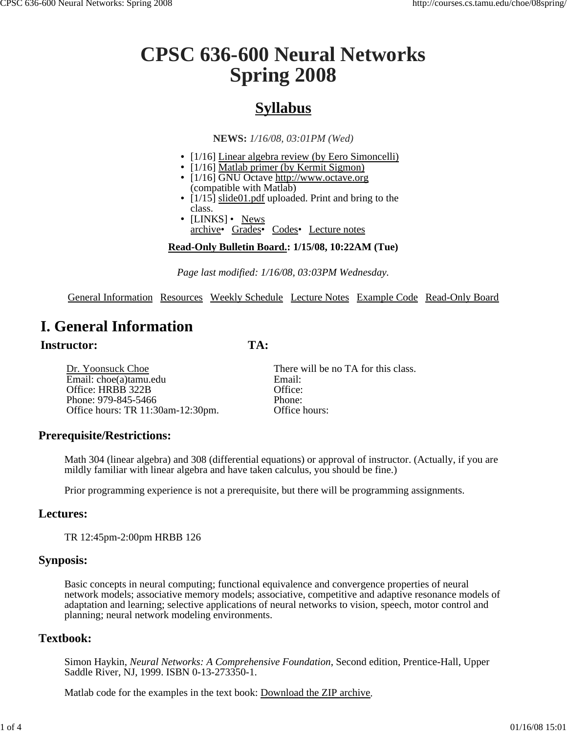# **CPSC 636-600 Neural Networks Spring 2008**

# **Syllabus**

**NEWS:** *1/16/08, 03:01PM (Wed)*

- [1/16] Linear algebra review (by Eero Simoncelli)
- $\cdot$  [1/16] Matlab primer (by Kermit Sigmon)
- [1/16] GNU Octave http://www.octave.org (compatible with Matlab)
- [1/15] slide01.pdf uploaded. Print and bring to the class.
- [LINKS] News archive• Grades• Codes• Lecture notes

# **Read-Only Bulletin Board.: 1/15/08, 10:22AM (Tue)**

*Page last modified: 1/16/08, 03:03PM Wednesday.*

General Information Resources Weekly Schedule Lecture Notes Example Code Read-Only Board

**TA:**

# **I. General Information**

# **Instructor:**

Dr. Yoonsuck Choe Email: choe(a)tamu.edu Office: HRBB 322B Phone: 979-845-5466 Office hours: TR 11:30am-12:30pm.

There will be no TA for this class. Email: Office: Phone: Office hours:

# **Prerequisite/Restrictions:**

Math 304 (linear algebra) and 308 (differential equations) or approval of instructor. (Actually, if you are mildly familiar with linear algebra and have taken calculus, you should be fine.)

Prior programming experience is not a prerequisite, but there will be programming assignments.

### **Lectures:**

TR 12:45pm-2:00pm HRBB 126

### **Synposis:**

Basic concepts in neural computing; functional equivalence and convergence properties of neural network models; associative memory models; associative, competitive and adaptive resonance models of adaptation and learning; selective applications of neural networks to vision, speech, motor control and planning; neural network modeling environments.

# **Textbook:**

Simon Haykin, *Neural Networks: A Comprehensive Foundation*, Second edition, Prentice-Hall, Upper Saddle River, NJ, 1999. ISBN 0-13-273350-1.

Matlab code for the examples in the text book: Download the ZIP archive.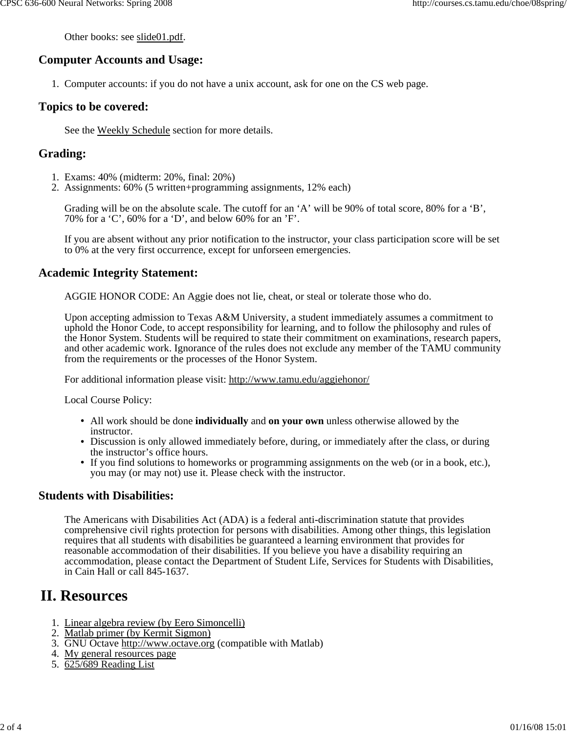Other books: see slide01.pdf.

### **Computer Accounts and Usage:**

1. Computer accounts: if you do not have a unix account, ask for one on the CS web page.

#### **Topics to be covered:**

See the Weekly Schedule section for more details.

#### **Grading:**

- 1. Exams: 40% (midterm: 20%, final: 20%)
- 2. Assignments: 60% (5 written+programming assignments, 12% each)

Grading will be on the absolute scale. The cutoff for an 'A' will be 90% of total score, 80% for a 'B', 70% for a 'C', 60% for a 'D', and below 60% for an 'F'.

If you are absent without any prior notification to the instructor, your class participation score will be set to 0% at the very first occurrence, except for unforseen emergencies.

#### **Academic Integrity Statement:**

AGGIE HONOR CODE: An Aggie does not lie, cheat, or steal or tolerate those who do.

Upon accepting admission to Texas A&M University, a student immediately assumes a commitment to uphold the Honor Code, to accept responsibility for learning, and to follow the philosophy and rules of the Honor System. Students will be required to state their commitment on examinations, research papers, and other academic work. Ignorance of the rules does not exclude any member of the TAMU community from the requirements or the processes of the Honor System.

For additional information please visit: http://www.tamu.edu/aggiehonor/

Local Course Policy:

- All work should be done **individually** and **on your own** unless otherwise allowed by the instructor.
- Discussion is only allowed immediately before, during, or immediately after the class, or during the instructor's office hours.
- If you find solutions to homeworks or programming assignments on the web (or in a book, etc.), you may (or may not) use it. Please check with the instructor.

#### **Students with Disabilities:**

The Americans with Disabilities Act (ADA) is a federal anti-discrimination statute that provides comprehensive civil rights protection for persons with disabilities. Among other things, this legislation requires that all students with disabilities be guaranteed a learning environment that provides for reasonable accommodation of their disabilities. If you believe you have a disability requiring an accommodation, please contact the Department of Student Life, Services for Students with Disabilities, in Cain Hall or call 845-1637.

# **II. Resources**

- 1. Linear algebra review (by Eero Simoncelli)
- 2. Matlab primer (by Kermit Sigmon)
- 3. GNU Octave http://www.octave.org (compatible with Matlab)
- 4. My general resources page
- 5. 625/689 Reading List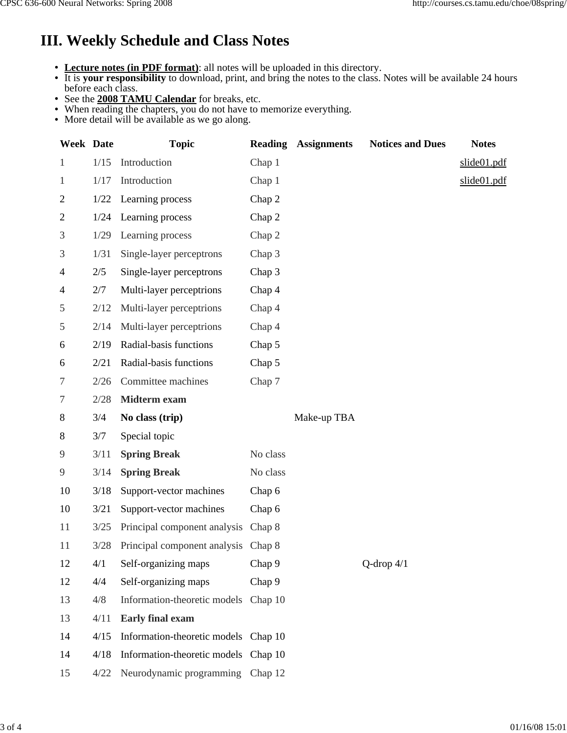# **III. Weekly Schedule and Class Notes**

- **Lecture notes (in PDF format)**: all notes will be uploaded in this directory.
- It is **your responsibility** to download, print, and bring the notes to the class. Notes will be available 24 hours before each class.
- See the **2008 TAMU Calendar** for breaks, etc.
- When reading the chapters, you do not have to memorize everything.
- More detail will be available as we go along.

| <b>Week Date</b> |      | <b>Topic</b>                         | <b>Reading</b> | <b>Assignments</b> | <b>Notices and Dues</b> | <b>Notes</b> |
|------------------|------|--------------------------------------|----------------|--------------------|-------------------------|--------------|
| 1                | 1/15 | Introduction                         | Chap 1         |                    |                         | slide01.pdf  |
| $\mathbf{1}$     | 1/17 | Introduction                         | Chap 1         |                    |                         | slide01.pdf  |
| 2                | 1/22 | Learning process                     | Chap 2         |                    |                         |              |
| 2                | 1/24 | Learning process                     | Chap 2         |                    |                         |              |
| 3                | 1/29 | Learning process                     | Chap 2         |                    |                         |              |
| 3                | 1/31 | Single-layer perceptrons             | Chap 3         |                    |                         |              |
| 4                | 2/5  | Single-layer perceptrons             | Chap 3         |                    |                         |              |
| 4                | 2/7  | Multi-layer perceptrions             | Chap 4         |                    |                         |              |
| 5                | 2/12 | Multi-layer perceptrions             | Chap 4         |                    |                         |              |
| 5                | 2/14 | Multi-layer perceptrions             | Chap 4         |                    |                         |              |
| 6                | 2/19 | Radial-basis functions               | Chap 5         |                    |                         |              |
| 6                | 2/21 | Radial-basis functions               | Chap 5         |                    |                         |              |
| 7                | 2/26 | Committee machines                   | Chap 7         |                    |                         |              |
| 7                | 2/28 | Midterm exam                         |                |                    |                         |              |
| 8                | 3/4  | No class (trip)                      |                | Make-up TBA        |                         |              |
| 8                | 3/7  | Special topic                        |                |                    |                         |              |
| 9                | 3/11 | <b>Spring Break</b>                  | No class       |                    |                         |              |
| 9                | 3/14 | <b>Spring Break</b>                  | No class       |                    |                         |              |
| 10               | 3/18 | Support-vector machines              | Chap 6         |                    |                         |              |
| 10               | 3/21 | Support-vector machines              | Chap 6         |                    |                         |              |
| 11               | 3/25 | Principal component analysis         | Chap 8         |                    |                         |              |
| 11               | 3/28 | Principal component analysis Chap 8  |                |                    |                         |              |
| 12               | 4/1  | Self-organizing maps                 | Chap 9         |                    | Q-drop $4/1$            |              |
| 12               | 4/4  | Self-organizing maps                 | Chap 9         |                    |                         |              |
| 13               | 4/8  | Information-theoretic models         | Chap 10        |                    |                         |              |
| 13               | 4/11 | <b>Early final exam</b>              |                |                    |                         |              |
| 14               | 4/15 | Information-theoretic models Chap 10 |                |                    |                         |              |
| 14               | 4/18 | Information-theoretic models Chap 10 |                |                    |                         |              |
| 15               | 4/22 | Neurodynamic programming Chap 12     |                |                    |                         |              |